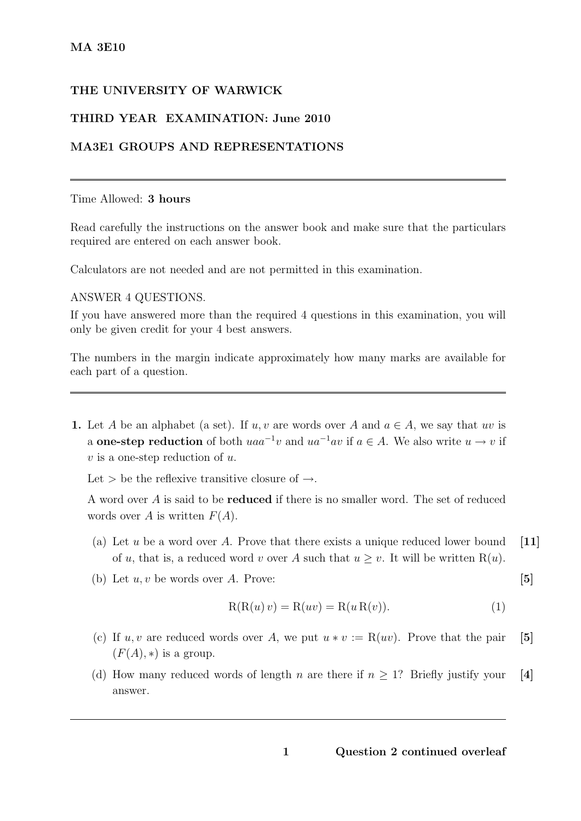# THE UNIVERSITY OF WARWICK

# THIRD YEAR EXAMINATION: June 2010

## MA3E1 GROUPS AND REPRESENTATIONS

### Time Allowed: 3 hours

Read carefully the instructions on the answer book and make sure that the particulars required are entered on each answer book.

Calculators are not needed and are not permitted in this examination.

#### ANSWER 4 QUESTIONS.

If you have answered more than the required 4 questions in this examination, you will only be given credit for your 4 best answers.

The numbers in the margin indicate approximately how many marks are available for each part of a question.

1. Let A be an alphabet (a set). If u, v are words over A and  $a \in A$ , we say that uv is a **one-step reduction** of both  $uaa^{-1}v$  and  $ua^{-1}av$  if  $a \in A$ . We also write  $u \to v$  if  $v$  is a one-step reduction of  $u$ .

Let  $>$  be the reflexive transitive closure of  $\rightarrow$ .

A word over A is said to be reduced if there is no smaller word. The set of reduced words over A is written  $F(A)$ .

- (a) Let u be a word over A. Prove that there exists a unique reduced lower bound  $\begin{bmatrix} 11 \end{bmatrix}$ of u, that is, a reduced word v over A such that  $u \geq v$ . It will be written R(u).
- (b) Let  $u, v$  be words over  $A$ . Prove: [5]

$$
R(R(u)v) = R(uv) = R(u R(v)).
$$
\n(1)

- (c) If u, v are reduced words over A, we put  $u * v := R(uv)$ . Prove that the pair [5]  $(F(A), *)$  is a group.
- (d) How many reduced words of length n are there if  $n \geq 1$ ? Briefly justify your [4] answer.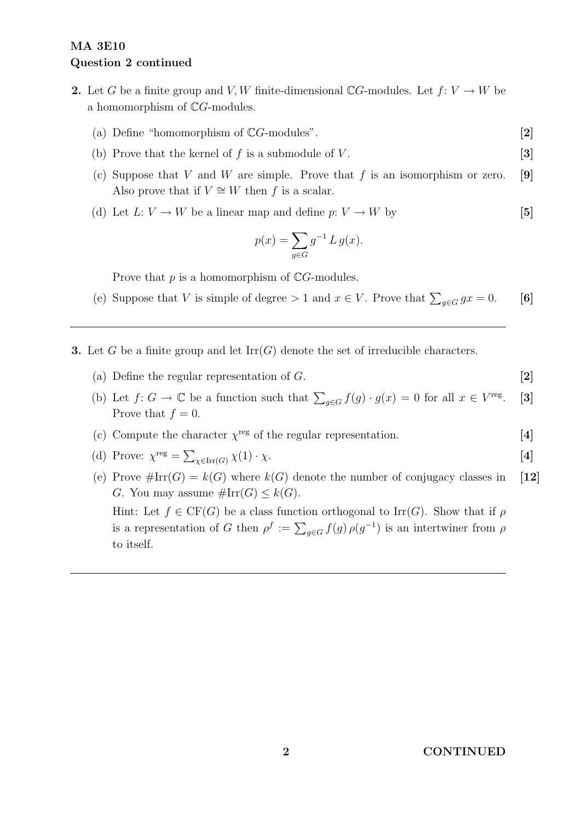# MA 3E10 Question 2 continued

- 2. Let G be a finite group and V, W finite-dimensional CG-modules. Let  $f: V \to W$  be a homomorphism of CG-modules.
	- (a) Define "homomorphism of  $\mathbb{C}G$ -modules".  $[2]$
	- (b) Prove that the kernel of  $f$  is a submodule of  $V$ . [3]
	- (c) Suppose that V and W are simple. Prove that f is an isomorphism or zero. [9] Also prove that if  $V \cong W$  then f is a scalar.
	- (d) Let  $L: V \to W$  be a linear map and define  $p: V \to W$  by [5]

$$
p(x) = \sum_{g \in G} g^{-1} L g(x).
$$

Prove that  $p$  is a homomorphism of  $\mathbb{C}G$ -modules.

- (e) Suppose that V is simple of degree > 1 and  $x \in V$ . Prove that  $\sum_{g \in G} gx = 0$ . [6]
- **3.** Let G be a finite group and let  $\text{Irr}(G)$  denote the set of irreducible characters.
	- (a) Define the regular representation of  $G$ .  $[2]$
	- (b) Let  $f: G \to \mathbb{C}$  be a function such that  $\sum_{g \in G} f(g) \cdot g(x) = 0$  for all  $x \in V^{\text{reg}}$  $\lceil 3 \rceil$ Prove that  $f = 0$ .
	- (c) Compute the character  $\chi^{\text{reg}}$  of the regular representation. [4]

(d) Prove: 
$$
\chi^{\text{reg}} = \sum_{\chi \in \text{Irr}(G)} \chi(1) \cdot \chi.
$$
 [4]

(e) Prove  $\#\text{Irr}(G) = k(G)$  where  $k(G)$  denote the number of conjugacy classes in [12] G. You may assume  $\#\mathrm{Irr}(G) \leq k(G)$ . Hint: Let  $f \in CF(G)$  be a class function orthogonal to Irr(G). Show that if  $\rho$ is a representation of G then  $\rho^f := \sum_{g \in G} f(g) \rho(g^{-1})$  is an intertwiner from  $\rho$ to itself.